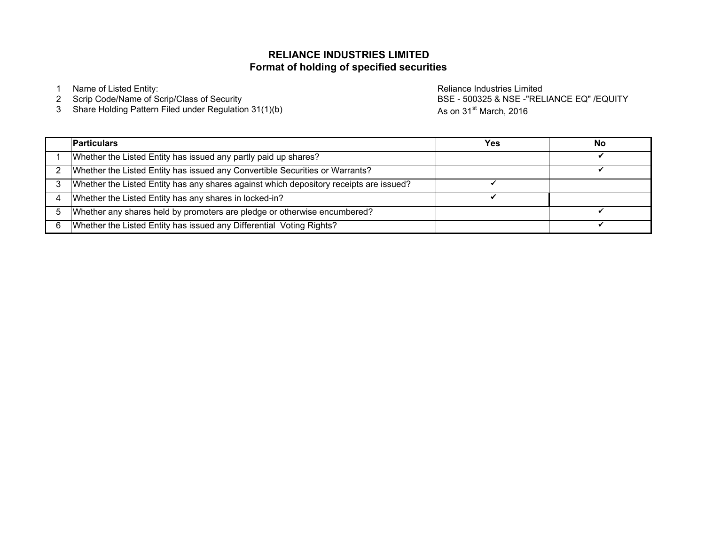### **Format of holding of specified securities RELIANCE INDUSTRIES LIMITED**

2 Scrip Code/Name of Scrip/Class of Security

3 Share Holding Pattern Filed under Regulation 31(1)(b)

1 Name of Listed Entity: **Name of Listed Entity:** And The Control of Listed Entity: **Reliance Industries Limited** BSE - 500325 & NSE -"RELIANCE EQ" /EQUITY As on 31<sup>st</sup> March, 2016

|   | <b>Particulars</b>                                                                     | Yes | No |
|---|----------------------------------------------------------------------------------------|-----|----|
|   | Whether the Listed Entity has issued any partly paid up shares?                        |     |    |
|   | Whether the Listed Entity has issued any Convertible Securities or Warrants?           |     |    |
|   | Whether the Listed Entity has any shares against which depository receipts are issued? |     |    |
|   | Whether the Listed Entity has any shares in locked-in?                                 |     |    |
|   | Whether any shares held by promoters are pledge or otherwise encumbered?               |     |    |
| 6 | Whether the Listed Entity has issued any Differential Voting Rights?                   |     |    |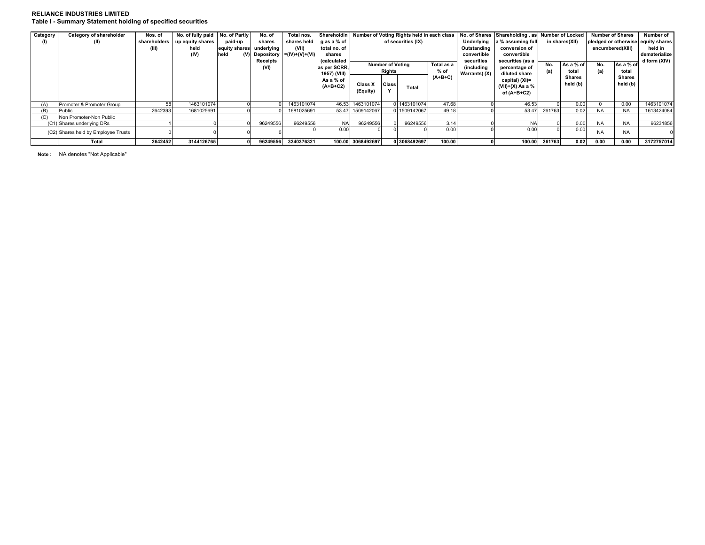### **RELIANCE INDUSTRIES LIMITED Table I - Summary Statement holding of specified securities**

| Category | Category of shareholder             | Nos. of      | No. of fully paid No. of Partly |               | No. of     | Total nos.                         | Shareholdin   Number of Voting Rights held in each class |                                       |              |              |                   |                  | No. of Shares Shareholding, as Number of Locked |                                    |               | <b>Number of Shares</b> |                | Number of  |
|----------|-------------------------------------|--------------|---------------------------------|---------------|------------|------------------------------------|----------------------------------------------------------|---------------------------------------|--------------|--------------|-------------------|------------------|-------------------------------------------------|------------------------------------|---------------|-------------------------|----------------|------------|
| (I)      | (II)                                | shareholders | up equity shares                | paid-up       | shares     | shares held                        | α as a % of                                              | of securities (IX)                    |              | Underlying   | a % assuming full | in shares(XII)   |                                                 | pledged or otherwise equity shares |               |                         |                |            |
|          |                                     | (III)        | held                            | equity shares | underlying | (VII)                              | total no. of                                             |                                       |              |              |                   | Outstanding      | conversion of                                   |                                    |               | encumbered(XIII)        |                | held in    |
|          |                                     |              | (IV)                            | held          |            | $(V)$ Depository $= (IV)+(V)+(VI)$ | shares                                                   |                                       |              |              | convertible       | convertible      |                                                 |                                    |               |                         | dematerialize  |            |
|          |                                     |              |                                 |               | Receipts   |                                    | (calculated                                              |                                       |              |              | securities        | securities (as a |                                                 |                                    |               |                         | d form $(XIV)$ |            |
|          |                                     |              |                                 |               | (VI)       |                                    | as per SCRR.                                             | <b>Number of Voting</b><br>Total as a |              | (including   | percentage of     | No.              | As a % of                                       | No.                                | As a % of     |                         |                |            |
|          |                                     |              |                                 |               |            |                                    | 1957) (VIII)                                             | Rights                                |              | % of         | Warrants) (X)     | diluted share    | (a)                                             | total                              | (a)           | total                   |                |            |
|          |                                     |              |                                 |               |            |                                    | As a % of                                                |                                       |              |              | $(A+B+C)$         |                  | capital) (XI)=                                  |                                    | <b>Shares</b> |                         | Shares         |            |
|          |                                     |              |                                 |               |            |                                    | $(A+B+C2)$                                               | Class X                               | <b>Class</b> | Total        |                   |                  | (VII)+(X) As a $\%$                             |                                    | held (b)      |                         | held $(b)$     |            |
|          |                                     |              |                                 |               |            |                                    |                                                          | (Equity)                              |              |              |                   |                  | of $(A+B+C2)$                                   |                                    |               |                         |                |            |
|          |                                     |              |                                 |               |            |                                    |                                                          |                                       |              |              |                   |                  |                                                 |                                    |               |                         |                |            |
| (A)      | Promoter & Promoter Group           |              | 1463101074                      |               |            | 1463101074                         |                                                          | 46.53 1463101074                      |              | 1463101074   | 47.68             |                  | 46.53                                           |                                    | 0.00          |                         | 0.00           | 1463101074 |
|          | Public                              | 2642393      | 1681025691                      |               |            | 1681025691                         |                                                          | 53.47 1509142067                      |              | 1509142067   | 49.1              |                  | 53.47                                           | 261763                             | 0.02          |                         | <b>NA</b>      | 1613424084 |
| (C)      | Non Promoter-Non Public             |              |                                 |               |            |                                    |                                                          |                                       |              |              |                   |                  |                                                 |                                    |               |                         |                |            |
|          | (C1) Shares underlying DRs          |              |                                 |               | 96249556   | 96249556                           | <b>NA</b>                                                | 96249556                              |              | 96249556     | 3.14              |                  | <b>NA</b>                                       |                                    | 0.00          | <b>NA</b>               | <b>NA</b>      | 96231856   |
|          | (C2) Shares held by Employee Trusts |              |                                 |               |            |                                    | 0.00                                                     |                                       |              |              | 0.00              |                  | 0.00                                            |                                    | 0.00          | <b>NA</b>               | <b>NA</b>      |            |
|          | Total                               | 2642452      | 3144126765                      |               | 96249556   | 3240376321                         |                                                          | 100.00 3068492697                     |              | 0 3068492697 | 100.00            |                  | 100.00                                          | 261763                             | 0.02          | 0.00                    | 0.00           | 3172757014 |

**Note :** NA denotes "Not Applicable"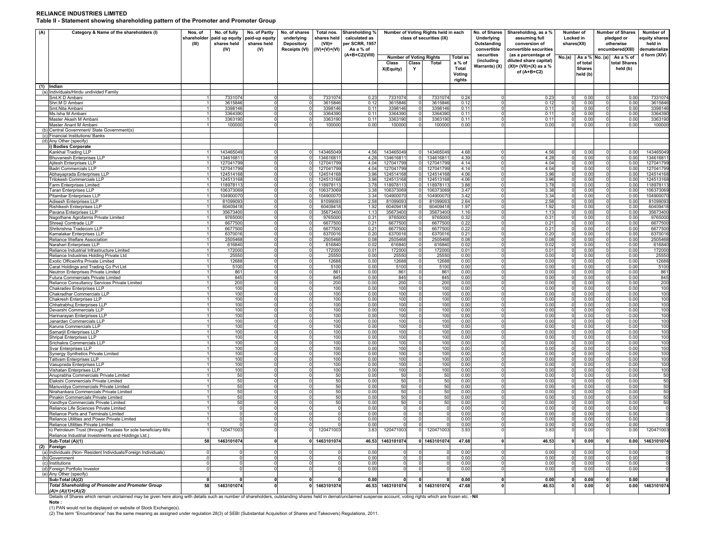#### **RELIANCE INDUSTRIES LIMITED**

**Table II - Statement showing shareholding pattern of the Promoter and Promoter Group**

| (A) | Category & Name of the shareholders (I)                                                                                                                                                                              | Nos. of<br>shareholder<br>(III) | No. of fully<br>paid up equity<br>shares held<br>(IV) | No. of Partly<br>paid-up equity<br>shares held<br>(V) | No. of shares<br>underlying<br>Depository<br>Receipts (VI) | Total nos.<br>shares held<br>$(VII)$ =<br>$(IV)+(V)+(V)$ | Shareholding %<br>calculated as<br>per SCRR, 1957<br>As a % of | Number of Voting Rights held in each<br>class of securities (IX) |                                  |                        | No. of Shares<br>Underlying<br>Outstanding<br>convertible | Shareholding, as a %<br>assuming full<br>conversion of<br>convertible securities |                                                                                           | Number of<br>Locked in<br>shares(XII) |                                                         | <b>Number of Shares</b><br>pledged or<br>otherwise<br>encumbered(XIII) | Number of<br>quity shares<br>held in<br>dematerialize |                        |
|-----|----------------------------------------------------------------------------------------------------------------------------------------------------------------------------------------------------------------------|---------------------------------|-------------------------------------------------------|-------------------------------------------------------|------------------------------------------------------------|----------------------------------------------------------|----------------------------------------------------------------|------------------------------------------------------------------|----------------------------------|------------------------|-----------------------------------------------------------|----------------------------------------------------------------------------------|-------------------------------------------------------------------------------------------|---------------------------------------|---------------------------------------------------------|------------------------------------------------------------------------|-------------------------------------------------------|------------------------|
|     |                                                                                                                                                                                                                      |                                 |                                                       |                                                       |                                                            |                                                          | (A+B+C2)(VIII)                                                 | <b>Number of Voting Rights</b><br>Class<br>X(Equity)             | Class<br>Y                       | Total                  | <b>Total as</b><br>a % of<br>Total<br>Voting<br>rights    | securities<br>(including<br>Warrants) (X)                                        | (as a percentage of<br>diluted share capital)<br>$(XI) = (VII)+(X)$ as a %<br>of (A+B+C2) | No.(a)                                | As a % No. (a)<br>of total<br><b>Shares</b><br>held (b) |                                                                        | As a % of<br>total Shares<br>held (b)                 | d form (XIV)           |
|     | (1) Indian<br>(a) Individuals/Hindu undivided Family                                                                                                                                                                 |                                 |                                                       |                                                       |                                                            |                                                          |                                                                |                                                                  |                                  |                        |                                                           |                                                                                  |                                                                                           |                                       |                                                         |                                                                        |                                                       |                        |
|     | Smt.K D Ambani                                                                                                                                                                                                       | $\mathbf{1}$                    | 7331074                                               |                                                       | $\Omega$                                                   | 7331074                                                  | 0.23                                                           | 7331074                                                          | $\circ$                          | 7331074                | 0.24                                                      | $\Omega$                                                                         | 0.23                                                                                      | $\circ$                               | 0.00                                                    |                                                                        | 0.00                                                  | 7331074                |
|     | Shri.M D Ambani                                                                                                                                                                                                      | 1<br>$\mathbf{1}$               | 3615846<br>3398146                                    | $\Omega$                                              | $\Omega$<br>$\circ$                                        | 3615846<br>3398146                                       | 0.12<br>0.11                                                   | 3615846<br>3398146                                               | $\circ$<br> 0                    | 3615846<br>3398146     | 0.12<br>0.11                                              | $\Omega$<br>$\circ$                                                              | 0.12                                                                                      | $\circ$<br>$\circ$                    | 0.00<br>0.00                                            | $\Omega$<br>$\Omega$                                                   | 0.00<br>0.00                                          | 3615846                |
|     | Smt.Nita Ambani<br>Ms.Isha M Ambani                                                                                                                                                                                  | 1                               | 3364390                                               | $\Omega$                                              | $\mathbf 0$                                                | 3364390                                                  | 0.11                                                           | 3364390                                                          | $\overline{0}$                   | 3364390                | 0.11                                                      | $\overline{0}$                                                                   | 0.11<br>0.11                                                                              | $\circ$                               | 0.00                                                    | $\circ$                                                                | 0.00                                                  | 3398146<br>3364390     |
|     | Master Akash M Ambani                                                                                                                                                                                                | $\mathbf{1}$                    | 3363190                                               |                                                       | $\circ$                                                    | 3363190                                                  | 0.11                                                           | 3363190                                                          | $\circ$                          | 3363190                | 0.11                                                      | $\circ$                                                                          | 0.11                                                                                      | $\circ$                               | 0.00                                                    | $\Omega$                                                               | 0.00                                                  | 3363190                |
|     | Master Anant M Ambani<br>(b) Central Government/ State Government(s)                                                                                                                                                 |                                 | 100000                                                |                                                       | $\Omega$                                                   | 100000                                                   | 0.00                                                           | 100000                                                           | $\Omega$                         | 100000                 | 0.00                                                      | $\mathbf 0$                                                                      | 0.00                                                                                      | $\circ$                               | 0.00                                                    | $\Omega$                                                               | 0.00                                                  | 100000                 |
|     | (c) Financial Institutions/ Banks                                                                                                                                                                                    |                                 |                                                       |                                                       |                                                            |                                                          |                                                                |                                                                  |                                  |                        |                                                           |                                                                                  |                                                                                           |                                       |                                                         |                                                                        |                                                       |                        |
|     | (d) Any Other (specify)<br><b>Bodies Corporate</b>                                                                                                                                                                   |                                 |                                                       |                                                       |                                                            |                                                          |                                                                |                                                                  |                                  |                        |                                                           |                                                                                  |                                                                                           |                                       |                                                         |                                                                        |                                                       |                        |
|     | Kankhal Trading LLP                                                                                                                                                                                                  |                                 | 143465049                                             |                                                       |                                                            | 143465049                                                | 4.56                                                           | 143465049                                                        | $\Omega$                         | 143465049              | 4.68                                                      | $^{\circ}$                                                                       | 4.56                                                                                      | 0                                     | 0.00                                                    | $\Omega$                                                               | 0.00                                                  | 14346504               |
|     | Bhuvanesh Enterprises LLP                                                                                                                                                                                            |                                 | 134616811                                             |                                                       | $\Omega$                                                   | 13461681                                                 | 4.28                                                           | 134616811                                                        | $\overline{0}$                   | 13461681               | 4.39                                                      | $\overline{0}$                                                                   | 4.28                                                                                      | $\Omega$                              | 0.00                                                    | $\Omega$                                                               | 0.00                                                  | 13461681               |
|     | Ajitesh Enterprises LLP<br>Badri Commercials LLP                                                                                                                                                                     | $\mathbf{1}$<br>$\mathbf{1}$    | 127041799<br>127041799                                |                                                       | $\Omega$<br>$\Omega$                                       | 127041799<br>127041799                                   | 4.04<br>4.04                                                   | 127041799<br>127041799                                           | $\overline{0}$<br>$\overline{0}$ | 127041799<br>127041799 | 4.14<br>4.14                                              | $\circ$<br>$\circ$                                                               | 4.04<br>4.04                                                                              | 0 <br> 0                              | 0.00<br>0.00                                            | $\overline{0}$<br>0                                                    | 0.00<br>0.00                                          | 127041799<br>127041799 |
|     | Abhayaprada Enterprises LLP                                                                                                                                                                                          |                                 | 124514168                                             |                                                       | $\Omega$                                                   | 124514168                                                | 3.96                                                           | 124514168                                                        | $\overline{0}$                   | 124514168              | 4.06                                                      | $\circ$                                                                          | 3.96                                                                                      | $\circ$                               | 0.00                                                    | $\mathbf 0$                                                            | 0.00                                                  | 124514168              |
|     | <b>Trilokesh Commercials LLP</b><br>Farm Enterprises Limited                                                                                                                                                         |                                 | 124513168<br>118978113                                |                                                       | $\Omega$<br>$\Omega$                                       | 124513168<br>118978113                                   | 3.96<br>3.78                                                   | 124513168<br>118978113                                           | 01<br>01                         | 124513168<br>118978113 | 4.06<br>3.88                                              | $^{\circ}$<br>$^{\circ}$                                                         | 3.96<br>3.78                                                                              | $\Omega$<br>0                         | 0.00<br>0.00                                            | 0<br>0                                                                 | 0.00<br>0.00                                          | 124513168<br>11897811  |
|     | <b>Taran Enterprises LLP</b>                                                                                                                                                                                         | $\mathbf{1}$                    | 106373069                                             | $\Omega$                                              | $\Omega$                                                   | 106373069                                                | 3.38                                                           | 106373069                                                        | $\Omega$                         | 106373069              | 3.47                                                      | $\mathbf 0$                                                                      | 3.38                                                                                      | $\mathbf{0}$                          | 0.00                                                    | $\Omega$                                                               | 0.00                                                  | 10637306               |
|     | Pitambar Enterprises LLF<br>Adisesh Enterprises LLP                                                                                                                                                                  | 11<br>11                        | 104900070<br>81099093                                 | $\Omega$<br>$\Omega$                                  | $\Omega$<br>$\Omega$                                       | 10490007<br>81099093                                     | 3.34<br>2.58                                                   | 104900070<br>81099093                                            | $\overline{0}$<br>$\overline{0}$ | 104900070<br>81099093  | 3.42<br>2.64                                              | $\overline{0}$<br>$\circ$                                                        | 3.34<br>2.58                                                                              | $\overline{0}$<br> 0                  | 0.00<br>0.00                                            | $\Omega$<br>$\Omega$                                                   | 0.00<br>0.00                                          | 10490007<br>8109909    |
|     | Rishikesh Enterprises LLF                                                                                                                                                                                            | $\mathbf{1}$                    | 60409418                                              |                                                       | $\Omega$                                                   | 60409418                                                 | 1.92                                                           | 60409418                                                         | $\overline{0}$                   | 60409418               | 1.97                                                      | $\circ$                                                                          | 1.92                                                                                      | $\circ$                               | 0.00                                                    | $\Omega$                                                               | 0.00                                                  | 60409418               |
|     | Pavana Enterprises LLP                                                                                                                                                                                               | 1                               | 35673400                                              | $\Omega$                                              | $\Omega$                                                   | 35673400                                                 | 1.13                                                           | 35673400                                                         | $\overline{0}$                   | 35673400               | 1.16                                                      | $\circ$                                                                          | 1.13                                                                                      | $\circ$                               | 0.00                                                    | $\Omega$                                                               | 0.00                                                  | 35673400               |
|     | Nagothane Agrofarms Private Limited<br>Shreeji Comtrade LLP                                                                                                                                                          | 1<br>1                          | 9765000<br>6677500                                    |                                                       | $\Omega$<br>$\Omega$                                       | 9765000<br>6677500                                       | 0.31<br>0.21                                                   | 9765000<br>6677500                                               | $\circ$<br>0                     | 9765000<br>6677500     | 0.32<br>0.22                                              | $\circ$<br>$\circ$                                                               | 0.31<br>0.21                                                                              | $\circ$<br>$\circ$                    | 0.00<br>0.00                                            | $\Omega$<br>$\Omega$                                                   | 0.00<br>0.00                                          | 9765000<br>6677500     |
|     | Shrikrishna Tradecom LLP                                                                                                                                                                                             | $\mathbf{1}$                    | 6677500                                               |                                                       | $\Omega$                                                   | 6677500                                                  | 0.21                                                           | 6677500                                                          | 0                                | 6677500                | 0.22                                                      | $\circ$                                                                          | 0.21                                                                                      | $\circ$                               | 0.00                                                    | $\Omega$                                                               | 0.00                                                  | 6677500                |
|     | Kamalakar Enterprises LLP<br>Reliance Welfare Association                                                                                                                                                            | $\mathbf{1}$<br>$\mathbf{1}$    | 6370016<br>2505468                                    | $\Omega$<br>$\cap$                                    | $\Omega$<br>$\Omega$                                       | 6370016<br>2505468                                       | 0.20<br>0.08                                                   | 6370016<br>2505468                                               | $\overline{0}$<br>$\circ$        | 6370016<br>2505468     | 0.21<br>0.08                                              | $\overline{0}$<br>$\mathbf 0$                                                    | 0.20<br>0.08                                                                              | 0 <br>$\circ$                         | 0.00<br>0.00                                            | $\circ$<br>$\Omega$                                                    | 0.00<br>0.00                                          | 6370016<br>2505468     |
|     | Narahari Enterprises LLP                                                                                                                                                                                             | $\mathbf{1}$                    | 616840                                                | $\Omega$                                              | $\Omega$                                                   | 616840                                                   | 0.02                                                           | 616840                                                           | $\circ$                          | 616840                 | 0.02                                                      | $\circ$                                                                          | 0.02                                                                                      | $\circ$                               | 0.00                                                    | $\Omega$                                                               | 0.00                                                  | 616840                 |
|     | Reliance Industrial Infrastructure Limited                                                                                                                                                                           |                                 | 172000                                                |                                                       |                                                            | 172000                                                   | 0.01                                                           | 172000                                                           | 0                                | 172000                 | 0.01                                                      | 0                                                                                | 0.01                                                                                      | $\circ$                               | 0.00                                                    |                                                                        | 0.00                                                  | 172000                 |
|     | Reliance Industries Holding Private Ltd<br>Exotic Officeinfra Private Limited                                                                                                                                        |                                 | 25550<br>12688                                        |                                                       |                                                            | 25550<br>12688                                           | 0.00<br>0.00                                                   | 25550<br>12688                                                   | 0                                | 25550<br>12688         | 0.00<br>0.00                                              | $\mathbf 0$<br>$\mathbf 0$                                                       | 0.00<br>0.00                                                                              | $\Omega$<br>0                         | 0.00<br>0.00                                            | $\Omega$                                                               | 0.00<br>0.00                                          | 25550<br>12688         |
|     | Carat Holdings and Trading Co Pvt Ltd                                                                                                                                                                                |                                 | 5100                                                  |                                                       |                                                            | 5100                                                     | 0.00                                                           | 5100                                                             | 0                                | 5100                   | 0.00                                                      | $^{\circ}$                                                                       | 0.00                                                                                      | 0                                     | 0.00                                                    | 0                                                                      | 0.00                                                  | 5100                   |
|     | Neutron Enterprises Private Limited<br>Futura Commercials Private Limited                                                                                                                                            |                                 | 861<br>845                                            |                                                       |                                                            | 861<br>845                                               | 0.00<br>0.00                                                   | 861<br>845                                                       | 0<br>0                           | 861<br>845             | 0.00<br>0.00                                              | $\mathbf 0$<br>$\mathbf 0$                                                       | 0.00<br>0.00                                                                              | 0<br>0                                | 0.00<br>0.00                                            | 0<br>0                                                                 | 0.00<br>0.00                                          | 861<br>845             |
|     | Reliance Consultancy Services Private Limited                                                                                                                                                                        |                                 | 200                                                   |                                                       |                                                            | 200                                                      | 0.00                                                           | 200                                                              | 0                                | 200                    | 0.00                                                      | $\mathbf 0$                                                                      | 0.00                                                                                      | 0                                     | 0.00                                                    | $\Omega$                                                               | 0.00                                                  | 200                    |
|     | Chakradev Enterprises LLP<br>Chakradhar Commercials LLP                                                                                                                                                              |                                 | 100<br>100                                            |                                                       |                                                            | 100<br>100                                               | 0.00<br>0.00                                                   | 100<br>100                                                       | 0<br>$\circ$                     | 100<br>100             | 0.00<br>0.00                                              | $\mathbf 0$<br>$\mathbf 0$                                                       | 0.00<br>0.00                                                                              | $^{\circ}$<br>0                       | 0.00<br>0.00                                            | 0<br>$\mathbf 0$                                                       | 0.00<br>0.00                                          | 100<br>100             |
|     | Chakresh Enterprises LLP                                                                                                                                                                                             | $\mathbf{1}$                    | 100                                                   |                                                       | 0                                                          | 100                                                      | 0.00                                                           | 100                                                              | $\circ$                          | 100                    | 0.00                                                      | $\circ$                                                                          | 0.00                                                                                      | $\circ$                               | 0.00                                                    | $\overline{0}$                                                         | 0.00                                                  | 100                    |
|     | Chhatrabhuj Enterprises LLP<br>Devarshi Commercials LLP                                                                                                                                                              | $\mathbf{1}$                    | 100<br>100                                            |                                                       | $\Omega$                                                   | 100<br>100                                               | 0.00<br>0.00                                                   | 100<br>100                                                       | $\circ$<br>$\circ$               | 100<br>100             | 0.00<br>0.00                                              | $\circ$<br>$^{\circ}$                                                            | 0.00<br>0.00                                                                              | 0 <br>$\circ$                         | 0.00<br>0.00                                            | $\overline{0}$<br>$\mathbf 0$                                          | 0.00<br>0.00                                          | 100<br>100             |
|     | Harinarayan Enterprises LLP                                                                                                                                                                                          | 11                              | 100                                                   |                                                       | 0                                                          | 100                                                      | 0.00                                                           | 100                                                              | $^{\circ}$                       | 100                    | 0.00                                                      | 0                                                                                | 0.00                                                                                      | $\circ$                               | 0.00                                                    | 0                                                                      | 0.00                                                  | 100                    |
|     | Janardan Commercials LLP<br>Karuna Commercials LLP                                                                                                                                                                   | 11<br>$\mathbf{1}$              | 100<br>100                                            | $\Omega$                                              | $\Omega$                                                   | 100<br>100                                               | 0.00<br>0.00                                                   | 100<br>100                                                       | $^{\circ}$<br>$\circ$            | 100<br>100             | 0.00<br>0.00                                              | 0<br>$^{\circ}$                                                                  | 0.00<br>0.00                                                                              | $\Omega$<br>$\circ$                   | 0.00<br>0.00                                            | $\Omega$<br>$\Omega$                                                   | 0.00<br>0.00                                          | 100<br>100             |
|     | Samarjit Enterprises LLP                                                                                                                                                                                             |                                 | 100<br>1                                              | $\Omega$                                              | $\Omega$                                                   | 100                                                      | 0.00                                                           | 100                                                              | $\overline{0}$                   | 100                    | 0.00                                                      | $\circ$                                                                          | 0.00                                                                                      | $\overline{0}$                        | 0.00                                                    | $\overline{0}$                                                         | 0.00                                                  | 100                    |
|     | Shripal Enterprises LLP                                                                                                                                                                                              |                                 | 100<br>1                                              | $\Omega$                                              | $\Omega$                                                   | 100                                                      | 0.00                                                           | 100                                                              | $\overline{0}$                   | 100                    | 0.00                                                      | $\circ$                                                                          | 0.00                                                                                      | $\overline{0}$                        | 0.00                                                    | $\Omega$                                                               | 0.00                                                  | 100                    |
|     | Srichakra Commercials LLP<br>Svar Enterprises LLP                                                                                                                                                                    | 1<br>1                          | 100<br>100                                            | $\Omega$                                              | $\Omega$<br>$\Omega$                                       | 100<br>100                                               | 0.00<br>0.00                                                   | 100<br>100                                                       | $\circ$<br>$\circ$               | 100<br>100             | 0.00<br>0.00                                              | $\circ$<br>$\circ$                                                               | 0.00<br>0.00                                                                              | $\circ$<br>$\circ$                    | 0.00<br>0.00                                            | $\Omega$<br>$\Omega$                                                   | 0.00<br>0.00                                          | 100<br>100             |
|     | Synergy Synthetics Private Limited                                                                                                                                                                                   | $\mathbf{1}$                    | 100                                                   |                                                       | $\Omega$                                                   | 100                                                      | 0.00                                                           | 100                                                              | $\circ$                          | 100                    | 0.00                                                      | $\circ$                                                                          | 0.00                                                                                      | $\circ$                               | 0.00                                                    | $\Omega$                                                               | 0.00                                                  | 100                    |
|     | <b>Tattvam Enterprises LLP</b><br>Vasuprada Enterprises LLP                                                                                                                                                          | $\mathbf{1}$<br>$\mathbf{1}$    | 100<br>100                                            | $\Omega$                                              | $\Omega$<br>$\Omega$                                       | 100<br>100                                               | 0.00<br>0.00                                                   | 100<br>100                                                       | $\circ$<br>$\overline{0}$        | 100<br>100             | 0.00<br>0.00                                              | $\circ$<br>$\circ$                                                               | 0.00<br>0.00                                                                              | $\circ$<br>$\overline{0}$             | 0.00<br>0.00                                            | $\Omega$<br>$\Omega$                                                   | 0.00<br>0.00                                          | 100<br>100             |
|     | Vishatan Enterprises LLP                                                                                                                                                                                             | 1                               | 100                                                   | $\Omega$                                              | $^{\circ}$                                                 | 100                                                      | 0.00                                                           | 100                                                              | $\circ$                          | 100                    | 0.00                                                      | $\overline{0}$                                                                   | 0.00                                                                                      | $\circ$                               | 0.00                                                    | $\circ$                                                                | 0.00                                                  | 100                    |
|     | Anuprabha Commercials Private Limited<br>Elakshi Commercials Private Limited                                                                                                                                         | $\mathbf{1}$<br>$\mathbf{1}$    | 50<br>50                                              | $\Omega$<br>$\Omega$                                  | $\Omega$<br>$\Omega$                                       | 50<br>50                                                 | 0.00<br>0.00                                                   | 50<br>50                                                         | $\circ$<br>$\circ$               | 50<br>50               | 0.00<br>0.00                                              | $\circ$<br>$\circ$                                                               | 0.00<br>0.00                                                                              | $\circ$<br>$\circ$                    | 0.00<br>0.00                                            | $\Omega$<br>$\Omega$                                                   | 0.00<br>0.00                                          | $\frac{50}{50}$        |
|     | Manuvidya Commercials Private Limited                                                                                                                                                                                |                                 | 50                                                    |                                                       |                                                            | 50                                                       | 0.00                                                           | 50                                                               | 0                                | 50                     | 0.00                                                      | 0                                                                                | 0.00                                                                                      | $\circ$                               | 0.00                                                    | $\Omega$                                                               | 0.00                                                  | 50                     |
|     | Nirahankara Commercials Private Limited<br>Pinakin Commercials Private Limited                                                                                                                                       |                                 | 50                                                    |                                                       |                                                            | 50                                                       | 0.00                                                           | 50                                                               | $\Omega$                         | 50                     | 0.00                                                      | $\mathbf 0$<br>$\mathbf 0$                                                       | 0.00                                                                                      | 0                                     | 0.00                                                    | $\Omega$                                                               | 0.00                                                  | 50                     |
|     | Vandhva Commercials Private Limited                                                                                                                                                                                  |                                 | 50<br>50                                              |                                                       |                                                            | 50<br>50                                                 | 0.00<br>0.00                                                   | 50<br>50                                                         | 0                                | 50<br>50               | 0.00<br>0.00                                              | 0                                                                                | 0.00<br>0.00                                                                              | $\mathbf{0}$<br>0                     | 0.00<br>0.00                                            | 0                                                                      | 0.00<br>0.00                                          | 50<br>50               |
|     | Reliance Life Sciences Private Limited                                                                                                                                                                               |                                 | $\mathbf 0$                                           |                                                       |                                                            |                                                          | 0.00                                                           | $\Omega$                                                         |                                  | 0                      | 0.00                                                      | 0                                                                                | 0.00                                                                                      | 0                                     | 0.00                                                    | $\Omega$                                                               | 0.00                                                  | $\mathsf{O}\xspace$    |
|     | Reliance Ports and Terminals Limited<br>Reliance Utilities and Power Private Limited                                                                                                                                 |                                 | $\Omega$<br>$\Omega$                                  |                                                       |                                                            |                                                          | 0.00<br>0.00                                                   | $\Omega$                                                         | 0                                | $\Omega$<br>$\Omega$   | 0.00<br>0.00                                              | $\mathbf 0$<br>0                                                                 | 0.00<br>0.00                                                                              | $\Omega$<br>0                         | 0.00<br>0.00                                            | $\Omega$<br>0                                                          | 0.00<br>0.00                                          | $\Omega$               |
|     | Reliance Utilities Private Limited                                                                                                                                                                                   |                                 |                                                       |                                                       |                                                            |                                                          | 0.00                                                           |                                                                  |                                  | $\Omega$               | 0.00                                                      |                                                                                  | 0.00                                                                                      | 0                                     | 0.00                                                    |                                                                        | 0.00                                                  |                        |
|     | ii) Petroleum Trust (through Trustees for sole beneficiary-M/s<br>Reliance Industrial Investments and Holdings Ltd.)                                                                                                 |                                 | 120471003                                             |                                                       |                                                            | 120471003                                                | 3.83                                                           | 120471003                                                        |                                  | 120471003              | 3.93                                                      | 0                                                                                | 3.83                                                                                      | $^{\circ}$                            | 0.00                                                    | 0                                                                      | 0.00                                                  | 120471003              |
|     | Sub-Total (A)(1)                                                                                                                                                                                                     | 58                              | 1463101074                                            |                                                       |                                                            | 0 1463101074                                             |                                                                | 46.53 1463101074                                                 |                                  | 0 1463101074           | 47.68                                                     | $\mathbf{0}$                                                                     | 46.53                                                                                     | οl                                    | 0.00                                                    | $\mathbf{0}$                                                           | 0.00                                                  | 1463101074             |
|     | (2) Foreign<br>(a) Individuals (Non-Resident Individuals/Foreign Individuals)                                                                                                                                        | $\circ$                         | $\Omega$                                              |                                                       |                                                            |                                                          | 0.00                                                           | $\Omega$                                                         | $\circ$                          | $\Omega$               | 0.00                                                      | $\mathbf 0$                                                                      | 0.00                                                                                      | $\Omega$                              | 0.00                                                    | $\Omega$                                                               | 0.00                                                  |                        |
|     | (b) Government                                                                                                                                                                                                       | $\circ$                         | $\Omega$                                              |                                                       |                                                            |                                                          | 0.00                                                           | $\Omega$                                                         | $\circ$                          | $\Omega$               | 0.00                                                      | $\mathbf 0$                                                                      | 0.00                                                                                      | $\circ$                               | 0.00                                                    | $\Omega$                                                               | 0.00                                                  | $\Omega$               |
|     | (c) Institutions<br>(d) Foreign Portfolio Investor                                                                                                                                                                   | $\Omega$<br>$\circ$             | $\Omega$<br>$\Omega$                                  |                                                       |                                                            |                                                          | 0.00<br>0.00                                                   | $\Omega$<br>$\Omega$                                             | $\Omega$<br>$\circ$              | $\Omega$<br>$\Omega$   | 0.00<br>0.00                                              | $\circ$<br>$\mathbf 0$                                                           | 0.00<br>0.00                                                                              | $\Omega$<br>$\circ$                   | 0.00<br>0.00                                            | $\Omega$<br>$\Omega$                                                   | 0.00<br>0.00                                          | $\Omega$               |
|     | (e) Any Other (specify)                                                                                                                                                                                              |                                 |                                                       |                                                       |                                                            |                                                          |                                                                |                                                                  |                                  |                        |                                                           |                                                                                  |                                                                                           |                                       |                                                         |                                                                        |                                                       |                        |
|     | Sub-Total (A)(2)<br><b>Total Shareholding of Promoter and Promoter Group</b>                                                                                                                                         | $\mathbf{0}$                    | 0<br>1463101074                                       |                                                       |                                                            | 1463101074                                               | 0.00                                                           | 0                                                                | 0                                | 0<br>0 1463101074      | 0.00                                                      | 0                                                                                | 0.00                                                                                      | 0<br>0                                | 0.00                                                    | 0<br>0                                                                 | 0.00                                                  | 1463101074             |
|     | $(A)=(A)(1)+(A)(2)$                                                                                                                                                                                                  | 58                              |                                                       |                                                       |                                                            |                                                          | 46.53                                                          | 1463101074                                                       |                                  |                        | 47.68                                                     |                                                                                  | 46.53                                                                                     |                                       | 0.00                                                    |                                                                        | 0.00                                                  |                        |
|     | Details of Shares which remain unclaimed may be given here along with details such as number of shareholders, outstanding shares held in demat/unclaimed suspense account, voting rights which are frozen etc. - Nil |                                 |                                                       |                                                       |                                                            |                                                          |                                                                |                                                                  |                                  |                        |                                                           |                                                                                  |                                                                                           |                                       |                                                         |                                                                        |                                                       |                        |

**Note :** 

(1) PAN would not be displayed on website of Stock Exchange(s). (2) The term "Encumbrance" has the same meaning as assigned under regulation 28(3) of SEBI (Substantial Acquisition of Shares and Takeovers) Regulations, 2011.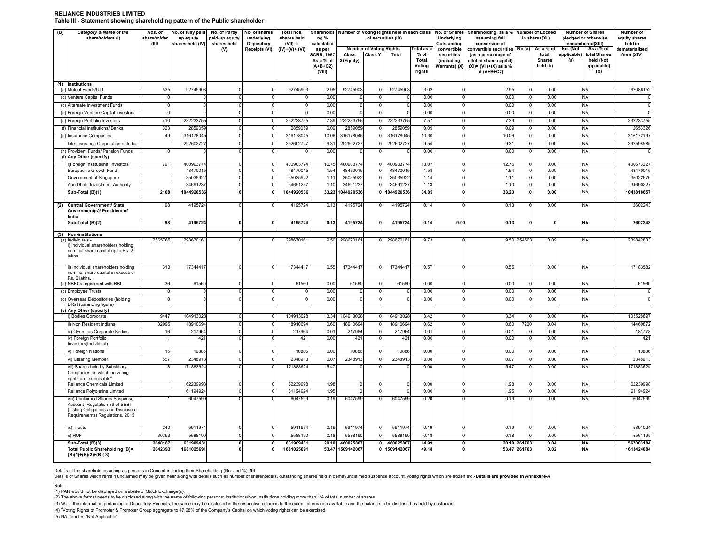#### **RELIANCE INDUSTRIES LIMITED Table III - Statement showing shareholding pattern of the Public shareholder**

| (B) | Category & Name of the<br>shareholders (I)                                                                                                 | Nos. of<br>shareholder<br>(III) | No. of fully paid<br>up equity<br>shares held (IV) | No. of Partly<br>paid-up equity<br>shares held | No. of shares<br>underlying<br>Depository | Total nos.<br>shares held<br>$(VII) =$ | Shareholdi<br>ng %<br>calculated                          |                    | Number of Voting Rights held in each class<br>of securities (IX) | Total as a | Underlying<br>Outstanding                                | No. of Shares Shareholding, as a % Number of Locked<br>assuming full<br>conversion of                                           | in shares(XII)                                  | <b>Number of Shares</b><br>pledged or otherwise<br>encumbered(XIII)                            | Number of<br>equity shares<br>held in |
|-----|--------------------------------------------------------------------------------------------------------------------------------------------|---------------------------------|----------------------------------------------------|------------------------------------------------|-------------------------------------------|----------------------------------------|-----------------------------------------------------------|--------------------|------------------------------------------------------------------|------------|----------------------------------------------------------|---------------------------------------------------------------------------------------------------------------------------------|-------------------------------------------------|------------------------------------------------------------------------------------------------|---------------------------------------|
|     |                                                                                                                                            |                                 |                                                    | (V)                                            | <b>Receipts (VI)</b>                      | $(IV)+(V)+(VI)$                        | as per<br>SCRR, 1957<br>As a % of<br>$(A+B+C2)$<br>(VIII) | Class<br>X(Equity) | <b>Number of Voting Rights</b><br><b>Class Y</b><br>Total        |            | convertible<br>securities<br>(including<br>Warrants) (X) | No.(a)<br>convertible securities<br>(as a percentage of<br>diluted share capital)<br>$(XI) = (VII)+(X)$ as a %<br>of $(A+B+C2)$ | As a % of<br>total<br><b>Shares</b><br>held (b) | No. (Not<br>As a % of<br>total Shares<br>applicable)<br>held (Not<br>(a)<br>applicable)<br>(b) | dematerialized<br>form (XIV)          |
|     | (1) Institutions                                                                                                                           | 535                             | 92745903                                           | $\Omega$                                       |                                           | 92745903                               | 2.95                                                      | 92745903           | 92745903<br>$\Omega$                                             | 3.02       | $\Omega$                                                 | 2.95                                                                                                                            | 0.00                                            | <b>NA</b>                                                                                      | 92086152                              |
|     | (a) Mutual Funds/UTI                                                                                                                       | $\Omega$                        |                                                    |                                                |                                           |                                        |                                                           |                    |                                                                  |            |                                                          |                                                                                                                                 | $\mathbf 0$                                     |                                                                                                |                                       |
|     | (b) Venture Capital Funds                                                                                                                  |                                 |                                                    | $\mathbf 0$                                    | ŋ                                         |                                        | 0.00                                                      |                    | $\Omega$<br>0                                                    | 0.00       | $\overline{0}$                                           | 0.00                                                                                                                            | 0.00<br>0                                       | <b>NA</b>                                                                                      |                                       |
|     | (c) Alternate Investment Funds                                                                                                             |                                 |                                                    | 0                                              |                                           |                                        | 0.00                                                      | 0                  | $\mathbf 0$                                                      | 0.00       | 0                                                        | 0.00                                                                                                                            | 0.00<br>$\mathbf 0$                             | <b>NA</b>                                                                                      |                                       |
|     | (d) Foreign Venture Capital Investors                                                                                                      |                                 |                                                    | $\Omega$                                       | $\Omega$                                  |                                        | 0.00                                                      |                    |                                                                  | 0.00       | $\Omega$                                                 | 0.00                                                                                                                            | 0.00<br>$\Omega$                                | <b>NA</b>                                                                                      |                                       |
|     | (e) Foreign Portfolio Investors                                                                                                            | 410                             | 232233755                                          | $\overline{0}$                                 | n                                         | 232233755                              | 7.39                                                      | 232233755          | 232233755<br>$\Omega$                                            | 7.57       | $\Omega$                                                 | 7.39                                                                                                                            | 0.00<br>0                                       | <b>NA</b>                                                                                      | 232233755                             |
|     | (f) Financial Institutions/ Banks                                                                                                          | 323                             | 285905                                             | 0                                              |                                           | 2859059                                | 0.09                                                      | 2859059            | 2859059                                                          | 0.09       | $\overline{0}$                                           | 0.09                                                                                                                            | 0.00<br>$\mathbf 0$                             | <b>NA</b>                                                                                      | 2653326                               |
|     | (g) Insurance Companies                                                                                                                    | 49                              | 316178045                                          | $\Omega$                                       |                                           | 316178045                              | 10.06                                                     | 316178045          | 316178045                                                        | 10.30      | $\overline{0}$                                           | 10.06                                                                                                                           | 0.00<br>$\Omega$                                | <b>NA</b>                                                                                      | 31617219                              |
|     | Life Insurance Corporation of India                                                                                                        |                                 | 292602727                                          | $\mathbf 0$                                    |                                           | 292602727                              | 9.31                                                      | 292602727          | 292602727                                                        | 9.54       | $\Omega$                                                 | 9.31                                                                                                                            | 0.00<br>0                                       | <b>NA</b>                                                                                      | 292598585                             |
|     | (h) Provident Funds/ Pension Funds<br>(i) Any Other (specify)                                                                              | $\Omega$                        |                                                    | 0                                              |                                           |                                        | 0.00                                                      |                    |                                                                  | 0.00       | $\mathbf 0$                                              | 0.00                                                                                                                            | 0.00<br>$\mathbf 0$                             | <b>NA</b>                                                                                      |                                       |
|     | i)Foreign Institutional Investors                                                                                                          | 791                             | 400903774                                          | $\overline{0}$                                 | $\Omega$                                  | 400903774                              | 12.75                                                     | 400903774          | 400903774<br>$\overline{0}$                                      | 13.07      | $\overline{0}$                                           | 12.75                                                                                                                           | 0.00<br>$\mathbf 0$                             | <b>NA</b>                                                                                      | 40067322                              |
|     | Europacific Growth Fund                                                                                                                    |                                 | 48470015                                           | $\circ$                                        | $\Omega$                                  | 48470015                               | 1.54                                                      | 48470015           | 48470015<br>$\mathsf{O}$                                         | 1.58       | $\overline{0}$                                           | 1.54                                                                                                                            | $\mathbf 0$<br>0.00                             | <b>NA</b>                                                                                      | 4847001                               |
|     | Government of Singapore                                                                                                                    |                                 | 35035922                                           | 0                                              | $\Omega$                                  | 35035922                               | 1.11                                                      | 35035922           | 35035922<br>0                                                    | 1.14       | $\circ$                                                  | 1.11                                                                                                                            | 0.00<br>0                                       | <b>NA</b>                                                                                      | 3502257                               |
|     | Abu Dhabi Investment Authority                                                                                                             |                                 | 3469123                                            | $\overline{0}$                                 | 0                                         | 34691237                               | 1.10                                                      | 34691237           | 34691237<br>0                                                    | 1.13       | $\overline{0}$                                           | 1.10                                                                                                                            | 0.00<br>0                                       | <b>NA</b>                                                                                      | 3469022                               |
|     | Sub-Total (B)(1)                                                                                                                           | 2108                            | 1044920536                                         | 0                                              |                                           | 1044920536                             | 33.23                                                     | 1044920536         | 0 1044920536                                                     | 34.05      | 0                                                        | 33.23                                                                                                                           | 0.00<br>0                                       | NA                                                                                             | 104381865                             |
|     |                                                                                                                                            |                                 |                                                    |                                                |                                           |                                        |                                                           |                    |                                                                  |            |                                                          |                                                                                                                                 |                                                 |                                                                                                |                                       |
| (2) | Central Government/ State<br>Government(s)/ President of<br>India                                                                          | 98                              | 4195724                                            | $\Omega$                                       |                                           | 4195724                                | 0.13                                                      | 4195724            | 4195724                                                          | 0.14       | $\Omega$                                                 | 0.13                                                                                                                            | 0.00<br>$\Omega$                                | <b>NA</b>                                                                                      | 260224                                |
|     | Sub-Total (B)(2)                                                                                                                           | 98                              | 4195724                                            | 0                                              |                                           | 4195724                                | 0.13                                                      | 4195724            | 4195724<br>0                                                     | 0.14       | 0.00                                                     | 0.13                                                                                                                            | $\mathbf{0}$<br>$\mathbf{0}$                    | <b>NA</b>                                                                                      | 260224                                |
|     | (3) Non-institutions                                                                                                                       |                                 |                                                    |                                                |                                           |                                        |                                                           |                    |                                                                  |            |                                                          |                                                                                                                                 |                                                 |                                                                                                |                                       |
|     | (a) Individuals -<br>i) Individual shareholders holding<br>nominal share capital up to Rs. 2<br>lakhs.                                     | 2565765                         | 29867016                                           | $\Omega$                                       |                                           | 298670161                              | 9.50                                                      | 29867016           | 298670161<br>$\Omega$                                            | 9.73       | $\Omega$                                                 | 9.50 254563                                                                                                                     | 0.09                                            | <b>NA</b>                                                                                      | 23984283                              |
|     | ii) Individual shareholders holding<br>nominal share capital in excess of<br>Rs. 2 lakhs.                                                  | 313                             | 17344417                                           |                                                |                                           | 17344417                               | 0.55                                                      | 17344417           | 17344417<br>$\Omega$                                             | 0.57       | $\Omega$                                                 | 0.55                                                                                                                            | 0.00                                            | NA                                                                                             | 17183582                              |
|     | (b) NBFCs registered with RBI                                                                                                              | 36                              | 61560                                              | $\Omega$                                       |                                           | 61560                                  | 0.00                                                      | 61560              | 61560<br><sup>n</sup>                                            | 0.00       | $\Omega$                                                 | 0.00                                                                                                                            | 0.00<br>$\Omega$                                | <b>NA</b>                                                                                      | 61560                                 |
|     | (c) Employee Trusts                                                                                                                        | $\Omega$                        | n                                                  | $\mathbf 0$                                    | $\Omega$                                  | $\Omega$                               | 0.00                                                      | $\Omega$           | $\Omega$<br>$\Omega$                                             | 0.00       | $\Omega$                                                 | 0.00                                                                                                                            | 0.00<br>$\mathbf 0$                             | <b>NA</b>                                                                                      | - 0                                   |
|     | (d) Overseas Depositories (holding<br>DRs) (balancing figure)<br>(e) Any Other (specify)                                                   |                                 |                                                    |                                                |                                           |                                        | 0.00                                                      |                    |                                                                  | 0.00       | $\Omega$                                                 | 0.00                                                                                                                            | 0.00<br>$\Omega$                                | <b>NA</b>                                                                                      |                                       |
|     | i) Bodies Corporate                                                                                                                        | 9447                            | 104913028                                          | $\Omega$                                       | $\Omega$                                  | 104913028                              | 3.34                                                      | 104913028          | 104913028<br>$\Omega$                                            | 3.42       | $\Omega$                                                 | 3.34                                                                                                                            | 0.00<br>$\Omega$                                | <b>NA</b>                                                                                      | 103528897                             |
|     | ii) Non Resident Indians                                                                                                                   | 32995                           | 18910694                                           | $\overline{0}$                                 | $\Omega$                                  | 18910694                               | 0.60                                                      | 18910694           | 18910694<br>$\Omega$                                             | 0.62       | $\overline{0}$                                           | 0.60                                                                                                                            | 7200<br>0.04                                    | <b>NA</b>                                                                                      | 1446087                               |
|     | iii) Overseas Corporate Bodies                                                                                                             | 16                              | 217964                                             | $\Omega$                                       | $\Omega$                                  | 217964                                 | 0.01                                                      | 217964             | 217964<br>$\Omega$                                               | 0.01       | $\Omega$                                                 | 0.01                                                                                                                            | 0.00<br>$^{\circ}$                              | <b>NA</b>                                                                                      | 181778                                |
|     | iv) Foreign Portfolio<br>Investors(Individual)                                                                                             |                                 | 421                                                |                                                |                                           | 421                                    | 0.00                                                      | 421                | 421<br>$\Omega$                                                  | 0.00       | $\Omega$                                                 | 0.00                                                                                                                            | 0.00<br>$\Omega$                                | NA                                                                                             | 421                                   |
|     | v) Foreign National                                                                                                                        | 15                              | 10886                                              | $\overline{0}$                                 | 0                                         | 10886                                  | 0.00                                                      | 10886              | 10886<br>0                                                       | 0.00       | $\overline{0}$                                           | 0.00                                                                                                                            | 0.00<br>0                                       | <b>NA</b>                                                                                      | 10886                                 |
|     | vi) Clearing Member                                                                                                                        | 557                             | 234891                                             | $\overline{0}$                                 | $\Omega$                                  | 234891                                 | 0.07                                                      | 2348913            | 2348913<br>$\Omega$                                              | 0.08       | $\overline{0}$                                           | 0.07                                                                                                                            | $\overline{0}$<br>0.00                          | <b>NA</b>                                                                                      | 2348913                               |
|     | vii) Shares held by Subsidiary<br>Companies on which no voting<br>rights are exercisable <sup>4</sup>                                      | $\mathbf{a}$                    | 171883624                                          |                                                |                                           | 171883624                              | 5.47                                                      |                    | $\Omega$<br>$\Omega$                                             | 0.00       | $\Omega$                                                 | 5.47                                                                                                                            | 0.00<br>$\Omega$                                | <b>NA</b>                                                                                      | 171883624                             |
|     | Reliance Chemicals Limited                                                                                                                 |                                 | 62239998                                           | $\overline{0}$                                 | $\Omega$                                  | 62239998                               | 1.98                                                      | $\Omega$           | $\Omega$<br>$\circ$                                              | 0.00       | $\overline{0}$                                           | 1.98                                                                                                                            | 0.00<br>0                                       | <b>NA</b>                                                                                      | 62239998                              |
|     | Reliance Polyolefins Limited                                                                                                               |                                 | 61194924                                           | $\Omega$                                       | $\Omega$                                  | 61194924                               | 1.95                                                      | $\Omega$           | $\Omega$<br>$\Omega$                                             | 0.00       | $\overline{0}$                                           | 1.95                                                                                                                            | 0.00<br>$\Omega$                                | <b>NA</b>                                                                                      | 61194924                              |
|     | viii) Unclaimed Shares Suspense<br>Account- Regulation 39 of SEBI<br>Listing Obligations and Disclosure<br>Requirements) Regulations, 2015 |                                 | 6047599                                            |                                                |                                           | 6047599                                | 0.19                                                      | 6047599            | 6047599<br>$\Omega$                                              | 0.20       |                                                          | 0.19                                                                                                                            | 0.00<br>$\Omega$                                | <b>NA</b>                                                                                      | 6047599                               |
|     | ix) Trusts                                                                                                                                 | 240                             | 5911974                                            | $\mathbf 0$                                    | 0                                         | 5911974                                | 0.19                                                      | 5911974            | 5911974<br>$^{\circ}$                                            | 0.19       | $\overline{0}$                                           | 0.19                                                                                                                            | 0.00<br>0                                       | <b>NA</b>                                                                                      | 5891024                               |
|     | x) HUF                                                                                                                                     | 30793                           | 5588190                                            | 0                                              |                                           | 5588190                                | 0.18                                                      | 5588190            | 5588190                                                          | 0.18       | $\overline{0}$                                           | 0.18                                                                                                                            | 0.00<br>$^{\circ}$                              | <b>NA</b>                                                                                      | 5561195                               |
|     | Sub-Total (B)(3)                                                                                                                           | 2640187                         | 631909431                                          | $\mathbf{0}$                                   | <sup>0</sup>                              | 631909431                              | 20.10                                                     | 460025807          | 460025807<br> 0                                                  | 14.99      | 0                                                        | 20.10 261763                                                                                                                    | 0.04                                            | <b>NA</b>                                                                                      | 567003184                             |
|     | Total Public Shareholding (B)=                                                                                                             | 2642393                         | 1681025691                                         |                                                |                                           | 1681025691                             | 53.47                                                     | 1509142067         | 0 1509142067                                                     | 49.18      |                                                          | 53.47 261763                                                                                                                    | 0.02                                            | <b>NA</b>                                                                                      | 1613424084                            |
|     | $(B)(1)+(B)(2)+(B)(3)$                                                                                                                     |                                 |                                                    |                                                |                                           |                                        |                                                           |                    |                                                                  |            |                                                          |                                                                                                                                 |                                                 |                                                                                                |                                       |

Details of the shareholders acting as persons in Concert including their Shareholding (No. and %): **Nil**

Details of Shares which remain unclaimed may be given hear along with details such as number of shareholders, outstanding shares held in demat/unclaimed suspense account, voting rights which are frozen etc.-Details are pro

Note:

(1) PAN would not be displayed on website of Stock Exchange(s).<br>(2) The above format needs to be disclosed along with the name of following persons: Institution/Non Institutions holding more than 1% of total number of shar

(3) W.r.t. the information pertaining to Depository Receipts, the same may be disclosed in the respective columns to the extent information available and the balance to be disclosed as held by custodian,

(4) <sup>4</sup>Voting Rights of Promoter & Promoter Group aggregate to 47.68% of the Company's Capital on which voting rights can be exercised.

(5) NA denotes "Not Applicable"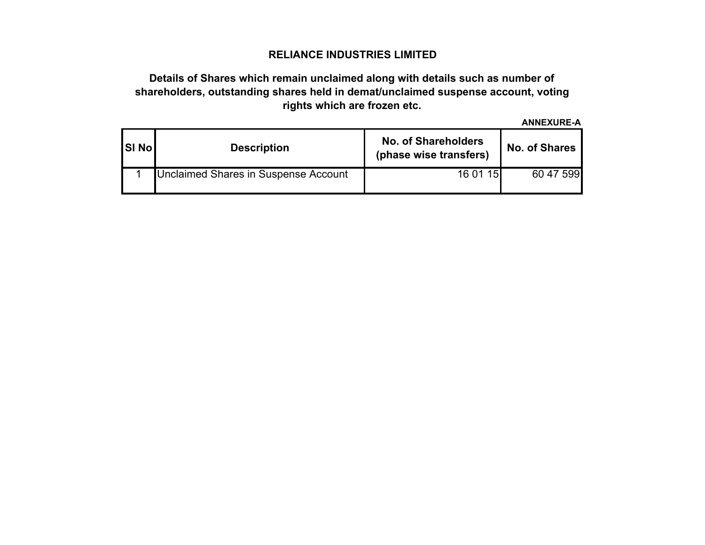## **RELIANCE INDUSTRIES LIMITED**

# **Details of Shares which remain unclaimed along with details such as number of shareholders, outstanding shares held in demat/unclaimed suspense account, voting rights which are frozen etc.**

**ANNEXURE-A**

| <b>SI No</b> | <b>Description</b>                   | <b>No. of Shareholders</b><br>(phase wise transfers) | <b>No. of Shares</b> |  |  |  |  |
|--------------|--------------------------------------|------------------------------------------------------|----------------------|--|--|--|--|
|              | Unclaimed Shares in Suspense Account | 16 01 15                                             | 60 47 599            |  |  |  |  |